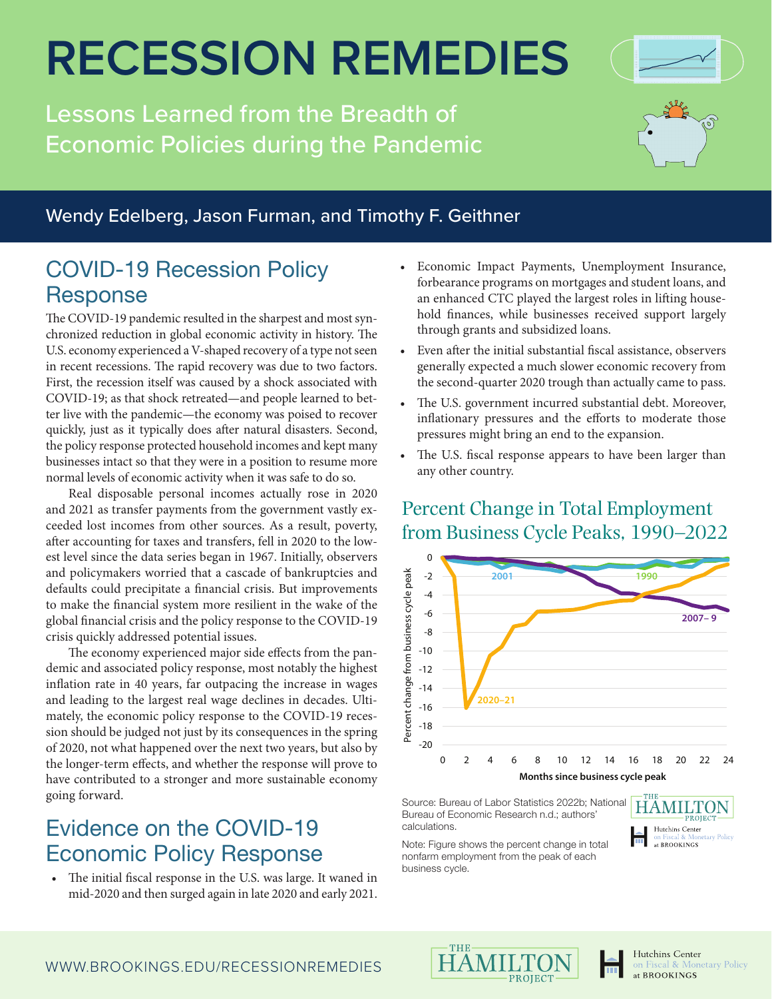# **RECESSION REMEDIES**

Lessons Learned from the Breadth of Economic Policies during the Pandemic



#### Wendy Edelberg, Jason Furman, and Timothy F. Geithner

### COVID-19 Recession Policy Response

The COVID-19 pandemic resulted in the sharpest and most synchronized reduction in global economic activity in history. The U.S. economy experienced a V-shaped recovery of a type not seen in recent recessions. The rapid recovery was due to two factors. First, the recession itself was caused by a shock associated with COVID-19; as that shock retreated—and people learned to better live with the pandemic—the economy was poised to recover quickly, just as it typically does after natural disasters. Second, the policy response protected household incomes and kept many businesses intact so that they were in a position to resume more normal levels of economic activity when it was safe to do so.

Real disposable personal incomes actually rose in 2020 and 2021 as transfer payments from the government vastly exceeded lost incomes from other sources. As a result, poverty, after accounting for taxes and transfers, fell in 2020 to the lowest level since the data series began in 1967. Initially, observers and policymakers worried that a cascade of bankruptcies and defaults could precipitate a financial crisis. But improvements to make the financial system more resilient in the wake of the global financial crisis and the policy response to the COVID-19 crisis quickly addressed potential issues.

The economy experienced major side effects from the pandemic and associated policy response, most notably the highest inflation rate in 40 years, far outpacing the increase in wages and leading to the largest real wage declines in decades. Ultimately, the economic policy response to the COVID-19 recession should be judged not just by its consequences in the spring of 2020, not what happened over the next two years, but also by the longer-term effects, and whether the response will prove to have contributed to a stronger and more sustainable economy going forward.

### Evidence on the COVID-19 Economic Policy Response

The initial fiscal response in the U.S. was large. It waned in mid-2020 and then surged again in late 2020 and early 2021.

- Economic Impact Payments, Unemployment Insurance, forbearance programs on mortgages and student loans, and an enhanced CTC played the largest roles in lifting household finances, while businesses received support largely through grants and subsidized loans.
- Even after the initial substantial fiscal assistance, observers generally expected a much slower economic recovery from the second-quarter 2020 trough than actually came to pass.
- The U.S. government incurred substantial debt. Moreover, inflationary pressures and the efforts to moderate those pressures might bring an end to the expansion.
- The U.S. fiscal response appears to have been larger than any other country.

#### Percent Change in Total Employment from Business Cycle Peaks, 1990–2022



Source: Bureau of Labor Statistics 2022b; National Bureau of Economic Research n.d.; authors' calculations.



Hutchins Center

at BROOKINGS

Fiscal & Monetary Policy

Note: Figure shows the percent change in total nonfarm employment from the peak of each business cycle.